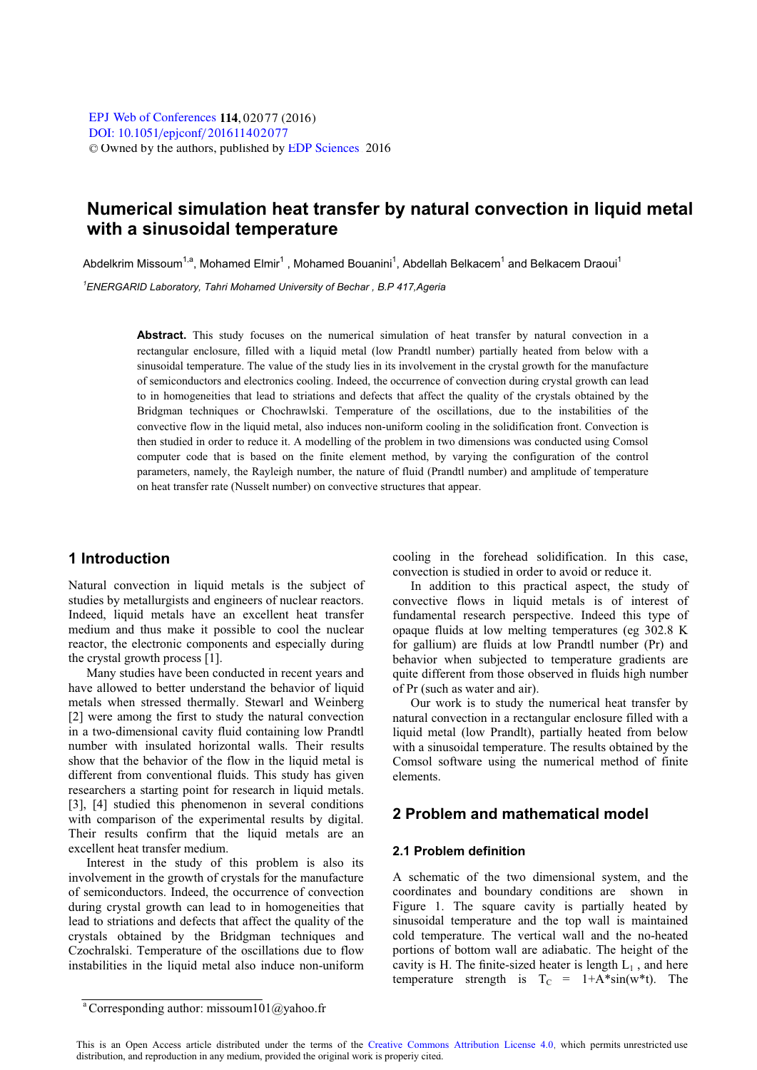# **Numerical simulation heat transfer by natural convection in liquid metal with a sinusoidal temperature**

Abdelkrim Missoum<sup>1,a</sup>, Mohamed Elmir<sup>1</sup> , Mohamed Bouanini<sup>1</sup>. Abdellah Belkacem<sup>1</sup> and Belkacem Draoui<sup>1</sup>

*1 ENERGARID Laboratory, Tahri Mohamed University of Bechar , B.P 417,Ageria* 

Abstract. This study focuses on the numerical simulation of heat transfer by natural convection in a rectangular enclosure, filled with a liquid metal (low Prandtl number) partially heated from below with a sinusoidal temperature. The value of the study lies in its involvement in the crystal growth for the manufacture of semiconductors and electronics cooling. Indeed, the occurrence of convection during crystal growth can lead to in homogeneities that lead to striations and defects that affect the quality of the crystals obtained by the Bridgman techniques or Chochrawlski. Temperature of the oscillations, due to the instabilities of the convective flow in the liquid metal, also induces non-uniform cooling in the solidification front. Convection is then studied in order to reduce it. A modelling of the problem in two dimensions was conducted using Comsol computer code that is based on the finite element method, by varying the configuration of the control parameters, namely, the Rayleigh number, the nature of fluid (Prandtl number) and amplitude of temperature on heat transfer rate (Nusselt number) on convective structures that appear.

## **1 Introduction**

Natural convection in liquid metals is the subject of studies by metallurgists and engineers of nuclear reactors. Indeed, liquid metals have an excellent heat transfer medium and thus make it possible to cool the nuclear reactor, the electronic components and especially during the crystal growth process [1].

Many studies have been conducted in recent years and have allowed to better understand the behavior of liquid metals when stressed thermally. Stewarl and Weinberg [2] were among the first to study the natural convection in a two-dimensional cavity fluid containing low Prandtl number with insulated horizontal walls. Their results show that the behavior of the flow in the liquid metal is different from conventional fluids. This study has given researchers a starting point for research in liquid metals. [3], [4] studied this phenomenon in several conditions with comparison of the experimental results by digital. Their results confirm that the liquid metals are an excellent heat transfer medium.

Interest in the study of this problem is also its involvement in the growth of crystals for the manufacture of semiconductors. Indeed, the occurrence of convection during crystal growth can lead to in homogeneities that lead to striations and defects that affect the quality of the crystals obtained by the Bridgman techniques and Czochralski. Temperature of the oscillations due to flow instabilities in the liquid metal also induce non-uniform cooling in the forehead solidification. In this case, convection is studied in order to avoid or reduce it.

In addition to this practical aspect, the study of convective flows in liquid metals is of interest of fundamental research perspective. Indeed this type of opaque fluids at low melting temperatures (eg 302.8 K for gallium) are fluids at low Prandtl number (Pr) and behavior when subjected to temperature gradients are quite different from those observed in fluids high number of Pr (such as water and air).

Our work is to study the numerical heat transfer by natural convection in a rectangular enclosure filled with a liquid metal (low Prandlt), partially heated from below with a sinusoidal temperature. The results obtained by the Comsol software using the numerical method of finite elements.

## **2 Problem and mathematical model**

#### **2.1 Problem definition**

A schematic of the two dimensional system, and the coordinates and boundary conditions are shown in Figure 1. The square cavity is partially heated by sinusoidal temperature and the top wall is maintained cold temperature. The vertical wall and the no-heated portions of bottom wall are adiabatic. The height of the cavity is H. The finite-sized heater is length  $L_1$ , and here temperature strength is  $T_C = 1+A^*sin(w^*t)$ . The

<sup>&</sup>lt;sup>a</sup> Corresponding author: missoum101@yahoo.fr

This is an Open Access article distributed under the terms of the [Creative Commons Attribution License 4.0,](http://creativecommons.org/licenses/by/4.0) which permits unrestricted use distribution, and reproduction in any medium, provided the original work is properly cited.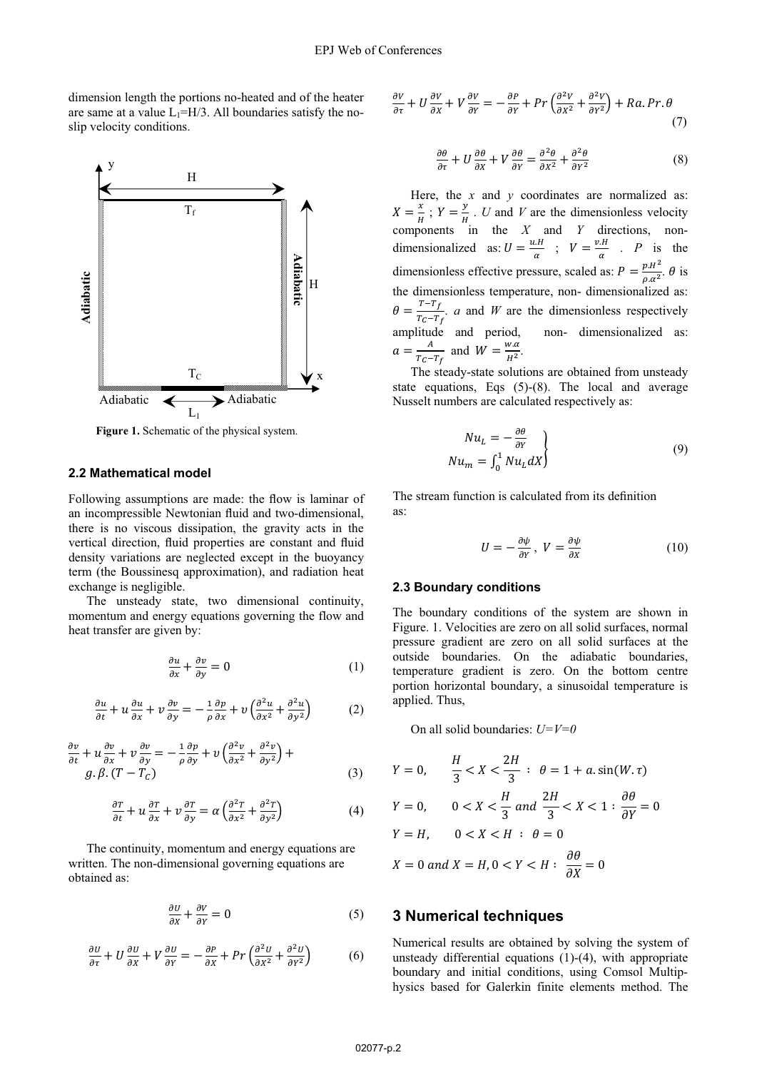dimension length the portions no-heated and of the heater are same at a value  $L_1=H/3$ . All boundaries satisfy the noslip velocity conditions.



**Figure 1.** Schematic of the physical system.

#### **2.2 Mathematical model**

Following assumptions are made: the flow is laminar of an incompressible Newtonian fluid and two-dimensional, there is no viscous dissipation, the gravity acts in the vertical direction, fluid properties are constant and fluid density variations are neglected except in the buoyancy term (the Boussinesq approximation), and radiation heat exchange is negligible.

The unsteady state, two dimensional continuity, momentum and energy equations governing the flow and heat transfer are given by:

$$
\frac{\partial u}{\partial x} + \frac{\partial v}{\partial y} = 0 \tag{1}
$$

$$
\frac{\partial u}{\partial t} + u \frac{\partial u}{\partial x} + v \frac{\partial v}{\partial y} = -\frac{1}{\rho} \frac{\partial p}{\partial x} + v \left( \frac{\partial^2 u}{\partial x^2} + \frac{\partial^2 u}{\partial y^2} \right) \tag{2}
$$

$$
\frac{\partial v}{\partial t} + u \frac{\partial v}{\partial x} + v \frac{\partial v}{\partial y} = -\frac{1}{\rho} \frac{\partial p}{\partial y} + v \left( \frac{\partial^2 v}{\partial x^2} + \frac{\partial^2 v}{\partial y^2} \right) + g \cdot (\mathbf{T} - T_C)
$$
\n(3)

$$
\frac{\partial r}{\partial t} + u \frac{\partial r}{\partial x} + v \frac{\partial r}{\partial y} = \alpha \left( \frac{\partial^2 r}{\partial x^2} + \frac{\partial^2 r}{\partial y^2} \right) \tag{4}
$$

The continuity, momentum and energy equations are written. The non-dimensional governing equations are obtained as:

$$
\frac{\partial v}{\partial x} + \frac{\partial v}{\partial y} = 0 \tag{5}
$$

$$
\frac{\partial U}{\partial \tau} + U \frac{\partial U}{\partial x} + V \frac{\partial U}{\partial y} = -\frac{\partial P}{\partial x} + Pr \left( \frac{\partial^2 U}{\partial x^2} + \frac{\partial^2 U}{\partial y^2} \right) \tag{6}
$$

$$
\frac{\partial v}{\partial \tau} + U \frac{\partial v}{\partial x} + V \frac{\partial v}{\partial y} = -\frac{\partial P}{\partial y} + Pr \left( \frac{\partial^2 v}{\partial x^2} + \frac{\partial^2 v}{\partial y^2} \right) + Ra. Pr. \theta
$$
\n(7)

$$
\frac{\partial \theta}{\partial \tau} + U \frac{\partial \theta}{\partial x} + V \frac{\partial \theta}{\partial y} = \frac{\partial^2 \theta}{\partial x^2} + \frac{\partial^2 \theta}{\partial y^2}
$$
(8)

Here, the  $x$  and  $y$  coordinates are normalized as:  $X = \frac{x}{H}$ ;  $Y = \frac{y}{H}$ . *U* and *V* are the dimensionless velocity components in the *X* and *Y* directions, nondimensionalized as:  $U = \frac{u \cdot H}{\alpha}$  ;  $V = \frac{v \cdot H}{\alpha}$  $\cdot$  *P* is the dimensionless effective pressure, scaled as:  $P = \frac{p.H^2}{\rho_a a^2}$ .  $\theta$  is the dimensionless temperature, non- dimensionalized as:  $\theta = \frac{T - T_f}{T_c - T_f}$  *a* and *W* are the dimensionless respectively non- dimensionalized as:  $a = \frac{A}{A}$  $rac{A}{T_C-T_f}$  and  $W = \frac{w.\alpha}{H^2}$ .

The steady-state solutions are obtained from unsteady state equations, Eqs (5)-(8). The local and average Nusselt numbers are calculated respectively as:

$$
Nu_L = -\frac{\partial \theta}{\partial Y} \}
$$
  
\n
$$
Nu_m = \int_0^1 Nu_L dX
$$
 (9)

The stream function is calculated from its definition as:

$$
U = -\frac{\partial \psi}{\partial Y}, \ V = \frac{\partial \psi}{\partial X}
$$
 (10)

#### **2.3 Boundary conditions**

The boundary conditions of the system are shown in Figure. 1. Velocities are zero on all solid surfaces, normal pressure gradient are zero on all solid surfaces at the outside boundaries. On the adiabatic boundaries, temperature gradient is zero. On the bottom centre portion horizontal boundary, a sinusoidal temperature is applied. Thus,

On all solid boundaries: *U=V=0*

$$
Y = 0, \qquad \frac{H}{3} < X < \frac{2H}{3} : \quad \theta = 1 + a \cdot \sin(W, \tau)
$$
\n
$$
Y = 0, \qquad 0 < X < \frac{H}{3} \text{ and } \frac{2H}{3} < X < 1 : \frac{\partial \theta}{\partial Y} = 0
$$
\n
$$
Y = H, \qquad 0 < X < H : \quad \theta = 0
$$
\n
$$
X = 0 \text{ and } X = H, 0 < Y < H : \quad \frac{\partial \theta}{\partial X} = 0
$$

## **3 Numerical techniques**

Numerical results are obtained by solving the system of unsteady differential equations (1)-(4), with appropriate boundary and initial conditions, using Comsol Multiphysics based for Galerkin finite elements method. The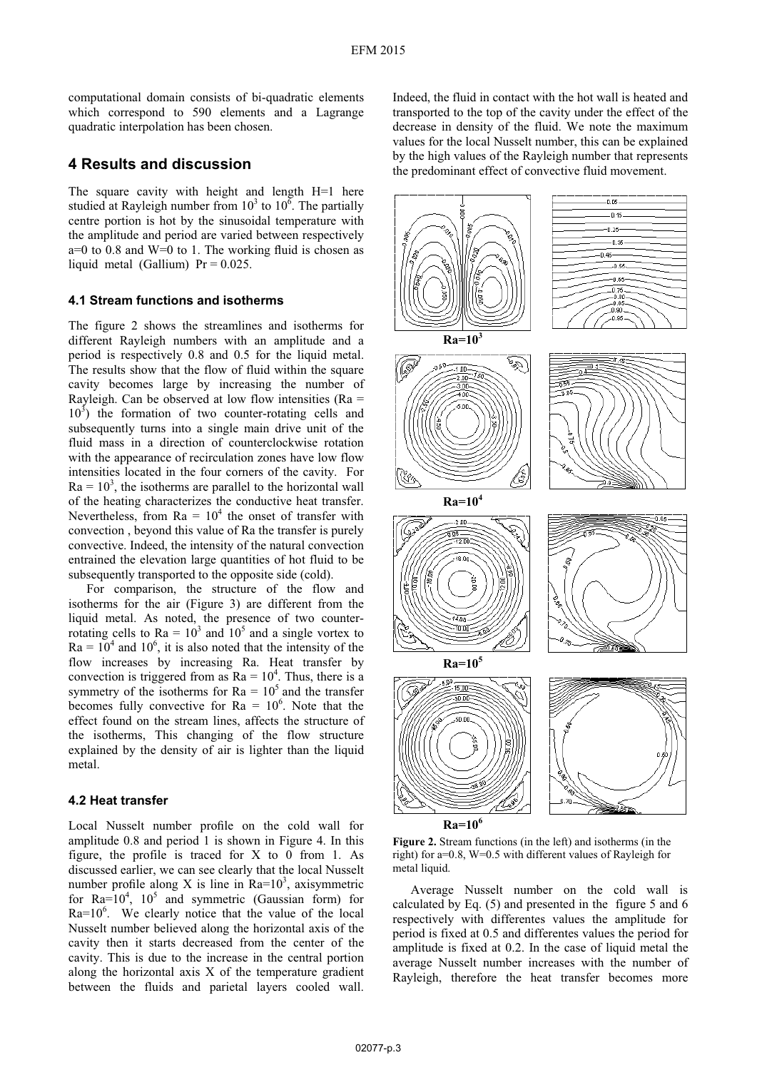computational domain consists of bi-quadratic elements which correspond to 590 elements and a Lagrange quadratic interpolation has been chosen.

## **4 Results and discussion**

The square cavity with height and length  $H=1$  here studied at Rayleigh number from  $10^3$  to  $10^6$ . The partially centre portion is hot by the sinusoidal temperature with the amplitude and period are varied between respectively  $a=0$  to 0.8 and W=0 to 1. The working fluid is chosen as liquid metal (Gallium)  $Pr = 0.025$ .

## **4.1 Stream functions and isotherms**

The figure 2 shows the streamlines and isotherms for different Rayleigh numbers with an amplitude and a period is respectively 0.8 and 0.5 for the liquid metal. The results show that the flow of fluid within the square cavity becomes large by increasing the number of Rayleigh. Can be observed at low flow intensities  $(Ra =$  $10<sup>3</sup>$ ) the formation of two counter-rotating cells and subsequently turns into a single main drive unit of the fluid mass in a direction of counterclockwise rotation with the appearance of recirculation zones have low flow intensities located in the four corners of the cavity. For  $Ra = 10<sup>3</sup>$ , the isotherms are parallel to the horizontal wall of the heating characterizes the conductive heat transfer. Nevertheless, from  $Ra = 10^4$  the onset of transfer with convection , beyond this value of Ra the transfer is purely convective. Indeed, the intensity of the natural convection entrained the elevation large quantities of hot fluid to be subsequently transported to the opposite side (cold).

For comparison, the structure of the flow and isotherms for the air (Figure 3) are different from the liquid metal. As noted, the presence of two counterrotating cells to  $Ra = 10^3$  and  $10^5$  and a single vortex to  $Ra = 10<sup>4</sup>$  and 10<sup>6</sup>, it is also noted that the intensity of the flow increases by increasing Ra. Heat transfer by convection is triggered from as  $Ra = 10<sup>4</sup>$ . Thus, there is a symmetry of the isotherms for  $Ra = 10^5$  and the transfer becomes fully convective for  $Ra = 10^6$ . Note that the effect found on the stream lines, affects the structure of the isotherms, This changing of the flow structure explained by the density of air is lighter than the liquid metal.

### **4.2 Heat transfer**

Local Nusselt number profile on the cold wall for amplitude 0.8 and period 1 is shown in Figure 4. In this figure, the profile is traced for X to 0 from 1. As discussed earlier, we can see clearly that the local Nusselt number profile along X is line in  $Ra=10^3$ , axisymmetric for  $Ra=10^4$ ,  $10^5$  and symmetric (Gaussian form) for  $Ra=10^6$ . We clearly notice that the value of the local Nusselt number believed along the horizontal axis of the cavity then it starts decreased from the center of the cavity. This is due to the increase in the central portion along the horizontal axis X of the temperature gradient between the fluids and parietal layers cooled wall.

Indeed, the fluid in contact with the hot wall is heated and transported to the top of the cavity under the effect of the decrease in density of the fluid. We note the maximum values for the local Nusselt number, this can be explained by the high values of the Rayleigh number that represents the predominant effect of convective fluid movement.



**Figure 2.** Stream functions (in the left) and isotherms (in the right) for a=0.8, W=0.5 with different values of Rayleigh for metal liquid.

Average Nusselt number on the cold wall is calculated by Eq. (5) and presented in the figure 5 and 6 respectively with differentes values the amplitude for period is fixed at 0.5 and differentes values the period for amplitude is fixed at 0.2. In the case of liquid metal the average Nusselt number increases with the number of Rayleigh, therefore the heat transfer becomes more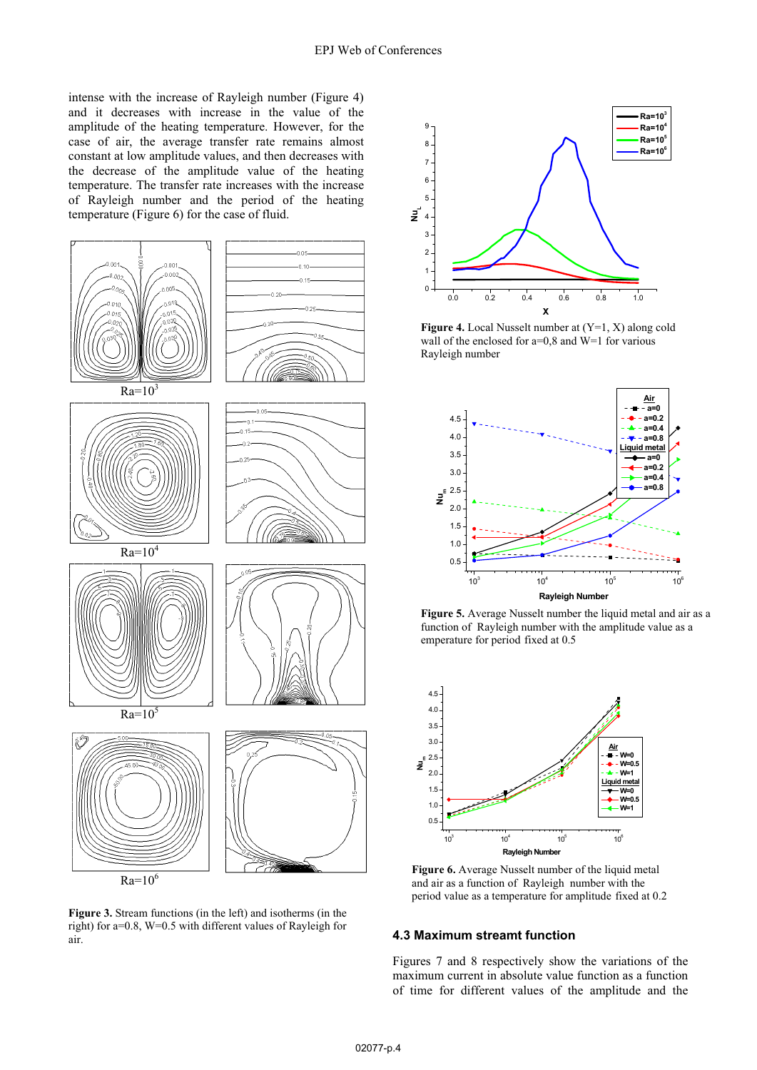intense with the increase of Rayleigh number (Figure 4) and it decreases with increase in the value of the amplitude of the heating temperature. However, for the case of air, the average transfer rate remains almost constant at low amplitude values, and then decreases with the decrease of the amplitude value of the heating temperature. The transfer rate increases with the increase of Rayleigh number and the period of the heating temperature (Figure 6) for the case of fluid.



**Figure 3.** Stream functions (in the left) and isotherms (in the right) for a=0.8, W=0.5 with different values of Rayleigh for air. **4.3 Maximum streamt function** 



**Figure 4.** Local Nusselt number at  $(Y=1, X)$  along cold wall of the enclosed for a=0,8 and W=1 for various Rayleigh number



**Figure 5.** Average Nusselt number the liquid metal and air as a function of Rayleigh number with the amplitude value as a emperature for period fixed at 0.5



**Figure 6.** Average Nusselt number of the liquid metal and air as a function of Rayleigh number with the period value as a temperature for amplitude fixed at 0.2

Figures 7 and 8 respectively show the variations of the maximum current in absolute value function as a function of time for different values of the amplitude and the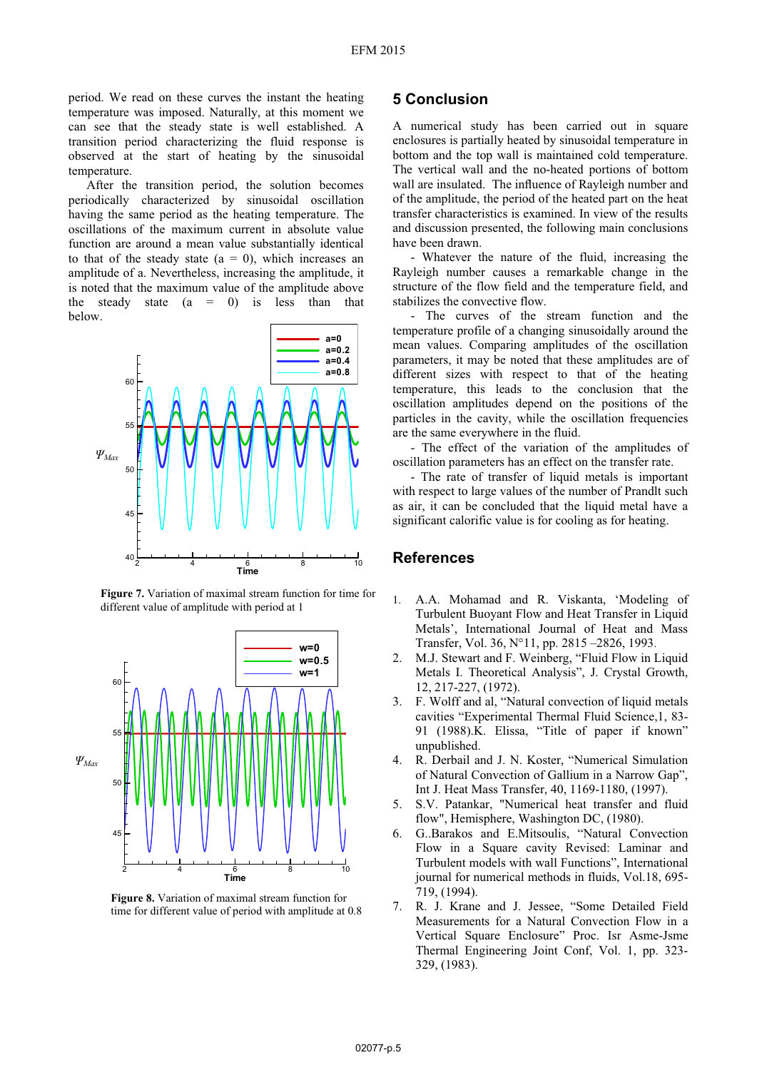period. We read on these curves the instant the heating temperature was imposed. Naturally, at this moment we can see that the steady state is well established. A transition period characterizing the fluid response is observed at the start of heating by the sinusoidal temperature.

After the transition period, the solution becomes periodically characterized by sinusoidal oscillation having the same period as the heating temperature. The oscillations of the maximum current in absolute value function are around a mean value substantially identical to that of the steady state  $(a = 0)$ , which increases an amplitude of a. Nevertheless, increasing the amplitude, it is noted that the maximum value of the amplitude above the steady state  $(a = 0)$  is less than that below.



**Figure 7.** Variation of maximal stream function for time for different value of amplitude with period at 1



**Figure 8.** Variation of maximal stream function for time for different value of period with amplitude at 0.8

## **5 Conclusion**

A numerical study has been carried out in square enclosures is partially heated by sinusoidal temperature in bottom and the top wall is maintained cold temperature. The vertical wall and the no-heated portions of bottom wall are insulated. The influence of Rayleigh number and of the amplitude, the period of the heated part on the heat transfer characteristics is examined. In view of the results and discussion presented, the following main conclusions have been drawn.

- Whatever the nature of the fluid, increasing the Rayleigh number causes a remarkable change in the structure of the flow field and the temperature field, and stabilizes the convective flow.

- The curves of the stream function and the temperature profile of a changing sinusoidally around the mean values. Comparing amplitudes of the oscillation parameters, it may be noted that these amplitudes are of different sizes with respect to that of the heating temperature, this leads to the conclusion that the oscillation amplitudes depend on the positions of the particles in the cavity, while the oscillation frequencies are the same everywhere in the fluid.

- The effect of the variation of the amplitudes of oscillation parameters has an effect on the transfer rate.

- The rate of transfer of liquid metals is important with respect to large values of the number of Prandlt such as air, it can be concluded that the liquid metal have a significant calorific value is for cooling as for heating.

## **References**

- 1. A.A. Mohamad and R. Viskanta, 'Modeling of Turbulent Buoyant Flow and Heat Transfer in Liquid Metals', International Journal of Heat and Mass Transfer, Vol. 36, N°11, pp. 2815 –2826, 1993.
- 2. M.J. Stewart and F. Weinberg, "Fluid Flow in Liquid Metals I. Theoretical Analysis", J. Crystal Growth, 12, 217-227, (1972).
- 3. F. Wolff and al, "Natural convection of liquid metals cavities "Experimental Thermal Fluid Science,1, 83- 91 (1988).K. Elissa, "Title of paper if known" unpublished.
- 4. R. Derbail and J. N. Koster, "Numerical Simulation of Natural Convection of Gallium in a Narrow Gap", Int J. Heat Mass Transfer, 40, 1169-1180, (1997).
- 5. S.V. Patankar, "Numerical heat transfer and fluid flow", Hemisphere, Washington DC, (1980).
- 6. G..Barakos and E.Mitsoulis, "Natural Convection Flow in a Square cavity Revised: Laminar and Turbulent models with wall Functions", International journal for numerical methods in fluids, Vol.18, 695- 719, (1994).
- 7. R. J. Krane and J. Jessee, "Some Detailed Field Measurements for a Natural Convection Flow in a Vertical Square Enclosure" Proc. Isr Asme-Jsme Thermal Engineering Joint Conf, Vol. 1, pp. 323- 329, (1983).